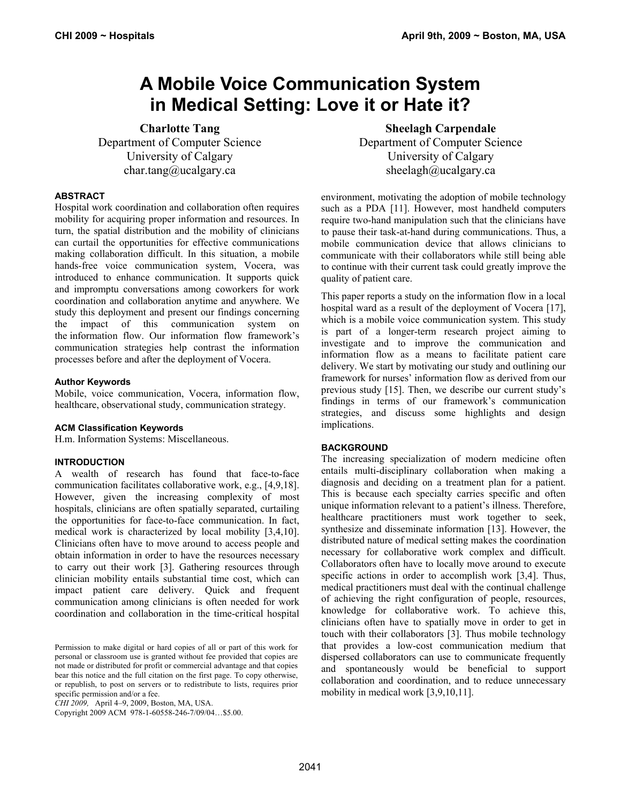# **A Mobile Voice Communication System in Medical Setting: Love it or Hate it?**

**Charlotte Tang**  Department of Computer Science University of Calgary char.tang@ucalgary.ca

### **ABSTRACT**

Hospital work coordination and collaboration often requires mobility for acquiring proper information and resources. In turn, the spatial distribution and the mobility of clinicians can curtail the opportunities for effective communications making collaboration difficult. In this situation, a mobile hands-free voice communication system, Vocera, was introduced to enhance communication. It supports quick and impromptu conversations among coworkers for work coordination and collaboration anytime and anywhere. We study this deployment and present our findings concerning the impact of this communication system on the information flow. Our information flow framework's communication strategies help contrast the information processes before and after the deployment of Vocera.

### **Author Keywords**

Mobile, voice communication, Vocera, information flow, healthcare, observational study, communication strategy.

### **ACM Classification Keywords**

H.m. Information Systems: Miscellaneous.

# **INTRODUCTION**

A wealth of research has found that face-to-face communication facilitates collaborative work, e.g., [4,9,18]. However, given the increasing complexity of most hospitals, clinicians are often spatially separated, curtailing the opportunities for face-to-face communication. In fact, medical work is characterized by local mobility [3,4,10]. Clinicians often have to move around to access people and obtain information in order to have the resources necessary to carry out their work [3]. Gathering resources through clinician mobility entails substantial time cost, which can impact patient care delivery. Quick and frequent communication among clinicians is often needed for work coordination and collaboration in the time-critical hospital

*CHI 2009,* April 4–9, 2009, Boston, MA, USA.

Copyright 2009 ACM 978-1-60558-246-7/09/04…\$5.00.

**Sheelagh Carpendale**  Department of Computer Science University of Calgary sheelagh@ucalgary.ca

environment, motivating the adoption of mobile technology such as a PDA [11]. However, most handheld computers require two-hand manipulation such that the clinicians have to pause their task-at-hand during communications. Thus, a mobile communication device that allows clinicians to communicate with their collaborators while still being able to continue with their current task could greatly improve the quality of patient care.

This paper reports a study on the information flow in a local hospital ward as a result of the deployment of Vocera [17], which is a mobile voice communication system. This study is part of a longer-term research project aiming to investigate and to improve the communication and information flow as a means to facilitate patient care delivery. We start by motivating our study and outlining our framework for nurses' information flow as derived from our previous study [15]. Then, we describe our current study's findings in terms of our framework's communication strategies, and discuss some highlights and design implications.

### **BACKGROUND**

The increasing specialization of modern medicine often entails multi-disciplinary collaboration when making a diagnosis and deciding on a treatment plan for a patient. This is because each specialty carries specific and often unique information relevant to a patient's illness. Therefore, healthcare practitioners must work together to seek, synthesize and disseminate information [13]. However, the distributed nature of medical setting makes the coordination necessary for collaborative work complex and difficult. Collaborators often have to locally move around to execute specific actions in order to accomplish work [3,4]. Thus, medical practitioners must deal with the continual challenge of achieving the right configuration of people, resources, knowledge for collaborative work. To achieve this, clinicians often have to spatially move in order to get in touch with their collaborators [3]. Thus mobile technology that provides a low-cost communication medium that dispersed collaborators can use to communicate frequently and spontaneously would be beneficial to support collaboration and coordination, and to reduce unnecessary mobility in medical work [3,9,10,11].

Permission to make digital or hard copies of all or part of this work for personal or classroom use is granted without fee provided that copies are not made or distributed for profit or commercial advantage and that copies bear this notice and the full citation on the first page. To copy otherwise, or republish, to post on servers or to redistribute to lists, requires prior specific permission and/or a fee.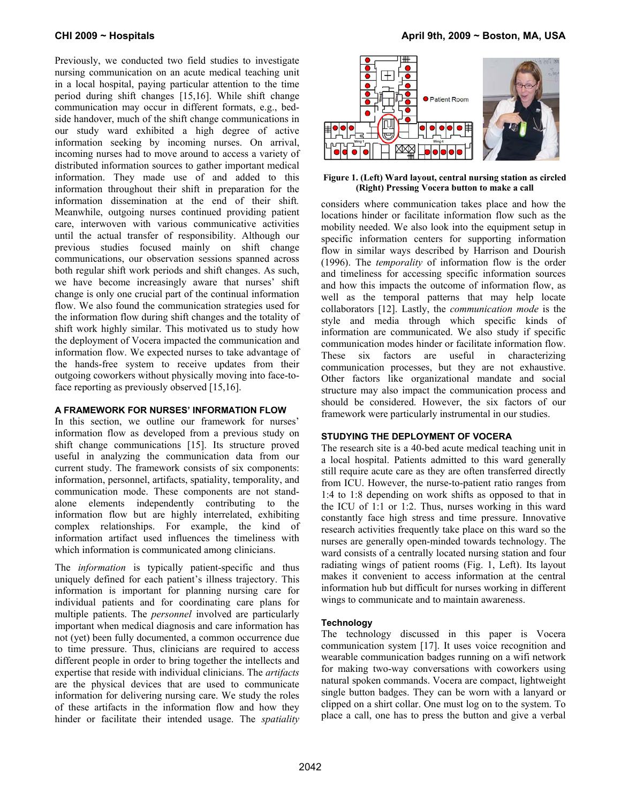Previously, we conducted two field studies to investigate nursing communication on an acute medical teaching unit in a local hospital, paying particular attention to the time period during shift changes [15,16]. While shift change communication may occur in different formats, e.g., bedside handover, much of the shift change communications in our study ward exhibited a high degree of active information seeking by incoming nurses. On arrival, incoming nurses had to move around to access a variety of distributed information sources to gather important medical information. They made use of and added to this information throughout their shift in preparation for the information dissemination at the end of their shift*.*  Meanwhile, outgoing nurses continued providing patient care, interwoven with various communicative activities until the actual transfer of responsibility. Although our previous studies focused mainly on shift change communications, our observation sessions spanned across both regular shift work periods and shift changes. As such, we have become increasingly aware that nurses' shift change is only one crucial part of the continual information flow. We also found the communication strategies used for the information flow during shift changes and the totality of shift work highly similar. This motivated us to study how the deployment of Vocera impacted the communication and information flow. We expected nurses to take advantage of the hands-free system to receive updates from their outgoing coworkers without physically moving into face-toface reporting as previously observed [15,16].

# **A FRAMEWORK FOR NURSES' INFORMATION FLOW**

In this section, we outline our framework for nurses' information flow as developed from a previous study on shift change communications [15]. Its structure proved useful in analyzing the communication data from our current study. The framework consists of six components: information, personnel, artifacts, spatiality, temporality, and communication mode. These components are not standalone elements independently contributing to the information flow but are highly interrelated, exhibiting complex relationships. For example, the kind of information artifact used influences the timeliness with which information is communicated among clinicians.

The *information* is typically patient-specific and thus uniquely defined for each patient's illness trajectory. This information is important for planning nursing care for individual patients and for coordinating care plans for multiple patients. The *personnel* involved are particularly important when medical diagnosis and care information has not (yet) been fully documented, a common occurrence due to time pressure. Thus, clinicians are required to access different people in order to bring together the intellects and expertise that reside with individual clinicians. The *artifacts* are the physical devices that are used to communicate information for delivering nursing care. We study the roles of these artifacts in the information flow and how they hinder or facilitate their intended usage. The *spatiality*



**Figure 1. (Left) Ward layout, central nursing station as circled (Right) Pressing Vocera button to make a call** 

considers where communication takes place and how the locations hinder or facilitate information flow such as the mobility needed. We also look into the equipment setup in specific information centers for supporting information flow in similar ways described by Harrison and Dourish (1996). The *temporality* of information flow is the order and timeliness for accessing specific information sources and how this impacts the outcome of information flow, as well as the temporal patterns that may help locate collaborators [12]. Lastly, the *communication mode* is the style and media through which specific kinds of information are communicated. We also study if specific communication modes hinder or facilitate information flow. These six factors are useful in characterizing communication processes, but they are not exhaustive. Other factors like organizational mandate and social structure may also impact the communication process and should be considered. However, the six factors of our framework were particularly instrumental in our studies.

# **STUDYING THE DEPLOYMENT OF VOCERA**

The research site is a 40-bed acute medical teaching unit in a local hospital. Patients admitted to this ward generally still require acute care as they are often transferred directly from ICU. However, the nurse-to-patient ratio ranges from 1:4 to 1:8 depending on work shifts as opposed to that in the ICU of 1:1 or 1:2. Thus, nurses working in this ward constantly face high stress and time pressure. Innovative research activities frequently take place on this ward so the nurses are generally open-minded towards technology. The ward consists of a centrally located nursing station and four radiating wings of patient rooms (Fig. 1, Left). Its layout makes it convenient to access information at the central information hub but difficult for nurses working in different wings to communicate and to maintain awareness.

### **Technology**

The technology discussed in this paper is Vocera communication system [17]. It uses voice recognition and wearable communication badges running on a wifi network for making two-way conversations with coworkers using natural spoken commands. Vocera are compact, lightweight single button badges. They can be worn with a lanyard or clipped on a shirt collar. One must log on to the system. To place a call, one has to press the button and give a verbal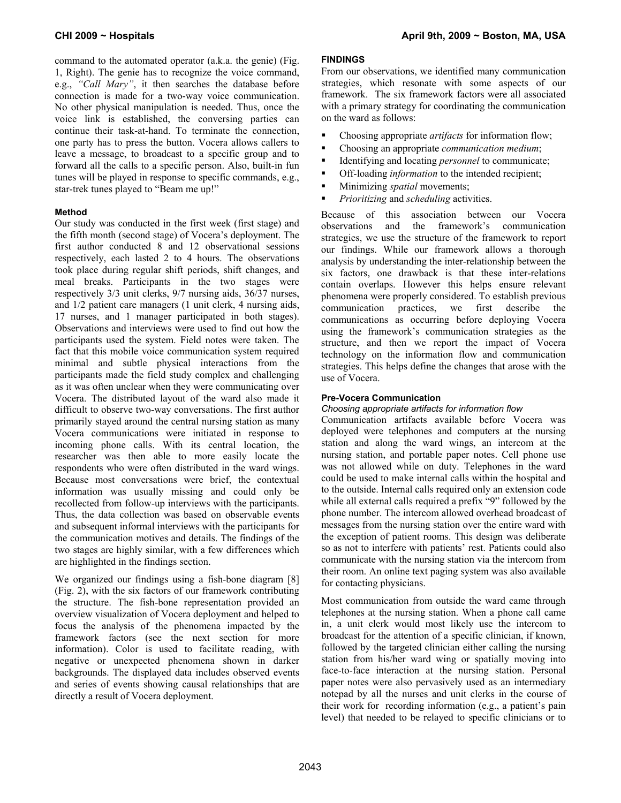command to the automated operator (a.k.a. the genie) (Fig. 1, Right). The genie has to recognize the voice command, e.g., *"Call Mary"*, it then searches the database before connection is made for a two-way voice communication. No other physical manipulation is needed. Thus, once the voice link is established, the conversing parties can continue their task-at-hand. To terminate the connection, one party has to press the button. Vocera allows callers to leave a message, to broadcast to a specific group and to forward all the calls to a specific person. Also, built-in fun tunes will be played in response to specific commands, e.g., star-trek tunes played to "Beam me up!"

# **Method**

Our study was conducted in the first week (first stage) and the fifth month (second stage) of Vocera's deployment. The first author conducted 8 and 12 observational sessions respectively, each lasted 2 to 4 hours. The observations took place during regular shift periods, shift changes, and meal breaks. Participants in the two stages were respectively 3/3 unit clerks, 9/7 nursing aids, 36/37 nurses, and 1/2 patient care managers (1 unit clerk, 4 nursing aids, 17 nurses, and 1 manager participated in both stages). Observations and interviews were used to find out how the participants used the system. Field notes were taken. The fact that this mobile voice communication system required minimal and subtle physical interactions from the participants made the field study complex and challenging as it was often unclear when they were communicating over Vocera. The distributed layout of the ward also made it difficult to observe two-way conversations. The first author primarily stayed around the central nursing station as many Vocera communications were initiated in response to incoming phone calls. With its central location, the researcher was then able to more easily locate the respondents who were often distributed in the ward wings. Because most conversations were brief, the contextual information was usually missing and could only be recollected from follow-up interviews with the participants. Thus, the data collection was based on observable events and subsequent informal interviews with the participants for the communication motives and details. The findings of the two stages are highly similar, with a few differences which are highlighted in the findings section.

We organized our findings using a fish-bone diagram [8] (Fig. 2), with the six factors of our framework contributing the structure. The fish-bone representation provided an overview visualization of Vocera deployment and helped to focus the analysis of the phenomena impacted by the framework factors (see the next section for more information). Color is used to facilitate reading, with negative or unexpected phenomena shown in darker backgrounds. The displayed data includes observed events and series of events showing causal relationships that are directly a result of Vocera deployment.

### **FINDINGS**

From our observations, we identified many communication strategies, which resonate with some aspects of our framework. The six framework factors were all associated with a primary strategy for coordinating the communication on the ward as follows:

- Choosing appropriate *artifacts* for information flow;
- Choosing an appropriate *communication medium*;
- Identifying and locating *personnel* to communicate;
- Off-loading *information* to the intended recipient;
- **Minimizing** *spatial* movements;
- *Prioritizing* and *scheduling* activities.

Because of this association between our Vocera observations and the framework's communication strategies, we use the structure of the framework to report our findings. While our framework allows a thorough analysis by understanding the inter-relationship between the six factors, one drawback is that these inter-relations contain overlaps. However this helps ensure relevant phenomena were properly considered. To establish previous communication practices, we first describe the communications as occurring before deploying Vocera using the framework's communication strategies as the structure, and then we report the impact of Vocera technology on the information flow and communication strategies. This helps define the changes that arose with the use of Vocera.

# **Pre-Vocera Communication**

### *Choosing appropriate artifacts for information flow*

Communication artifacts available before Vocera was deployed were telephones and computers at the nursing station and along the ward wings, an intercom at the nursing station, and portable paper notes. Cell phone use was not allowed while on duty. Telephones in the ward could be used to make internal calls within the hospital and to the outside. Internal calls required only an extension code while all external calls required a prefix "9" followed by the phone number. The intercom allowed overhead broadcast of messages from the nursing station over the entire ward with the exception of patient rooms. This design was deliberate so as not to interfere with patients' rest. Patients could also communicate with the nursing station via the intercom from their room. An online text paging system was also available for contacting physicians.

Most communication from outside the ward came through telephones at the nursing station. When a phone call came in, a unit clerk would most likely use the intercom to broadcast for the attention of a specific clinician, if known, followed by the targeted clinician either calling the nursing station from his/her ward wing or spatially moving into face-to-face interaction at the nursing station. Personal paper notes were also pervasively used as an intermediary notepad by all the nurses and unit clerks in the course of their work for recording information (e.g., a patient's pain level) that needed to be relayed to specific clinicians or to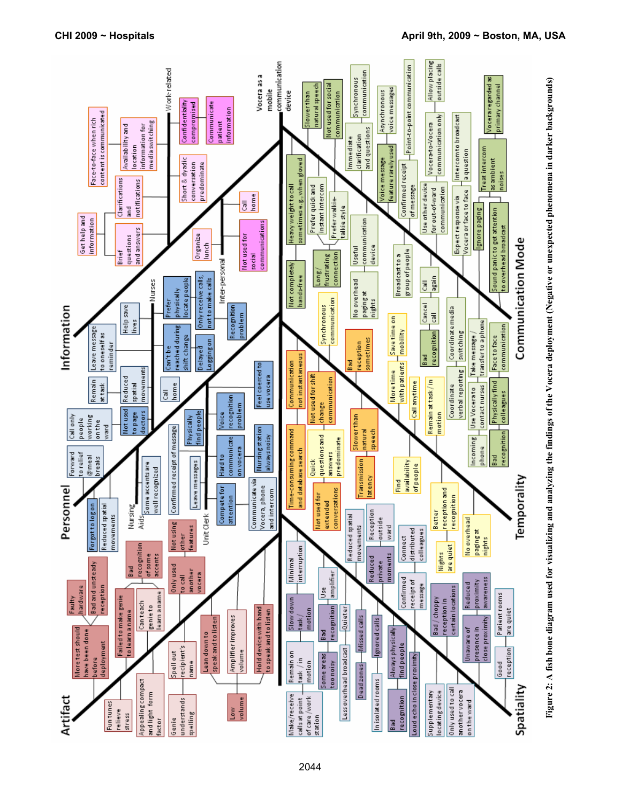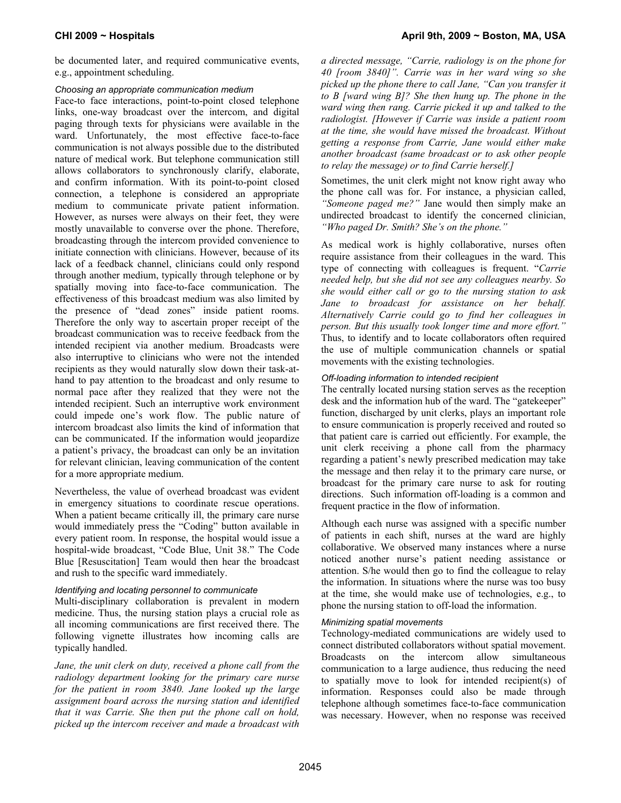be documented later, and required communicative events, e.g., appointment scheduling.

# *Choosing an appropriate communication medium*

Face-to face interactions, point-to-point closed telephone links, one-way broadcast over the intercom, and digital paging through texts for physicians were available in the ward. Unfortunately, the most effective face-to-face communication is not always possible due to the distributed nature of medical work. But telephone communication still allows collaborators to synchronously clarify, elaborate, and confirm information. With its point-to-point closed connection, a telephone is considered an appropriate medium to communicate private patient information. However, as nurses were always on their feet, they were mostly unavailable to converse over the phone. Therefore, broadcasting through the intercom provided convenience to initiate connection with clinicians. However, because of its lack of a feedback channel, clinicians could only respond through another medium, typically through telephone or by spatially moving into face-to-face communication. The effectiveness of this broadcast medium was also limited by the presence of "dead zones" inside patient rooms. Therefore the only way to ascertain proper receipt of the broadcast communication was to receive feedback from the intended recipient via another medium. Broadcasts were also interruptive to clinicians who were not the intended recipients as they would naturally slow down their task-athand to pay attention to the broadcast and only resume to normal pace after they realized that they were not the intended recipient. Such an interruptive work environment could impede one's work flow. The public nature of intercom broadcast also limits the kind of information that can be communicated. If the information would jeopardize a patient's privacy, the broadcast can only be an invitation for relevant clinician, leaving communication of the content for a more appropriate medium.

Nevertheless, the value of overhead broadcast was evident in emergency situations to coordinate rescue operations. When a patient became critically ill, the primary care nurse would immediately press the "Coding" button available in every patient room. In response, the hospital would issue a hospital-wide broadcast, "Code Blue, Unit 38." The Code Blue [Resuscitation] Team would then hear the broadcast and rush to the specific ward immediately.

# *Identifying and locating personnel to communicate*

Multi-disciplinary collaboration is prevalent in modern medicine. Thus, the nursing station plays a crucial role as all incoming communications are first received there. The following vignette illustrates how incoming calls are typically handled.

*Jane, the unit clerk on duty, received a phone call from the radiology department looking for the primary care nurse for the patient in room 3840. Jane looked up the large assignment board across the nursing station and identified that it was Carrie. She then put the phone call on hold, picked up the intercom receiver and made a broadcast with* 

*a directed message, "Carrie, radiology is on the phone for 40 [room 3840]". Carrie was in her ward wing so she picked up the phone there to call Jane, "Can you transfer it to B [ward wing B]? She then hung up. The phone in the ward wing then rang. Carrie picked it up and talked to the radiologist. [However if Carrie was inside a patient room at the time, she would have missed the broadcast. Without getting a response from Carrie, Jane would either make another broadcast (same broadcast or to ask other people to relay the message) or to find Carrie herself.]* 

Sometimes, the unit clerk might not know right away who the phone call was for. For instance, a physician called, *"Someone paged me?"* Jane would then simply make an undirected broadcast to identify the concerned clinician, *"Who paged Dr. Smith? She's on the phone."*

As medical work is highly collaborative, nurses often require assistance from their colleagues in the ward. This type of connecting with colleagues is frequent. "*Carrie needed help, but she did not see any colleagues nearby. So she would either call or go to the nursing station to ask Jane to broadcast for assistance on her behalf. Alternatively Carrie could go to find her colleagues in person. But this usually took longer time and more effort."* Thus, to identify and to locate collaborators often required the use of multiple communication channels or spatial movements with the existing technologies.

# *Off-loading information to intended recipient*

The centrally located nursing station serves as the reception desk and the information hub of the ward. The "gatekeeper" function, discharged by unit clerks, plays an important role to ensure communication is properly received and routed so that patient care is carried out efficiently. For example, the unit clerk receiving a phone call from the pharmacy regarding a patient's newly prescribed medication may take the message and then relay it to the primary care nurse, or broadcast for the primary care nurse to ask for routing directions. Such information off-loading is a common and frequent practice in the flow of information.

Although each nurse was assigned with a specific number of patients in each shift, nurses at the ward are highly collaborative. We observed many instances where a nurse noticed another nurse's patient needing assistance or attention. S/he would then go to find the colleague to relay the information. In situations where the nurse was too busy at the time, she would make use of technologies, e.g., to phone the nursing station to off-load the information.

### *Minimizing spatial movements*

Technology-mediated communications are widely used to connect distributed collaborators without spatial movement. Broadcasts on the intercom allow simultaneous communication to a large audience, thus reducing the need to spatially move to look for intended recipient(s) of information. Responses could also be made through telephone although sometimes face-to-face communication was necessary. However, when no response was received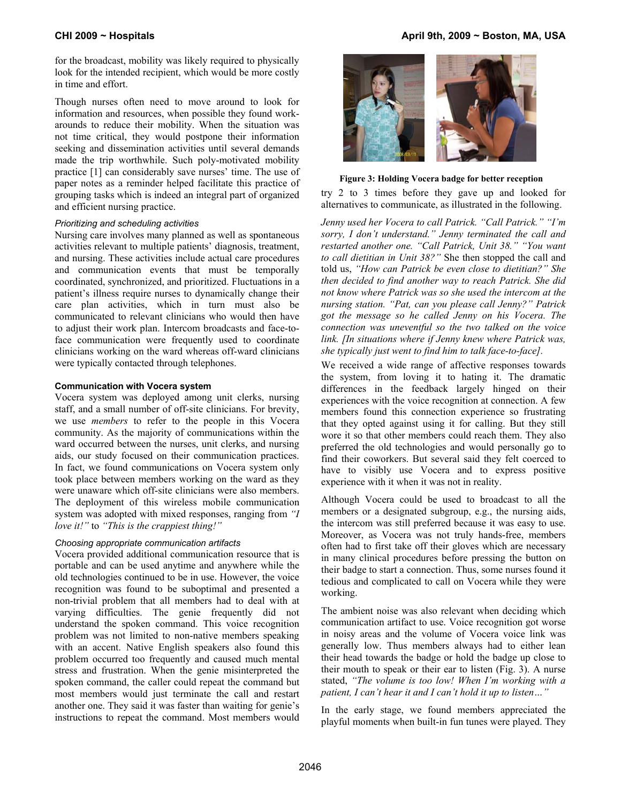for the broadcast, mobility was likely required to physically look for the intended recipient, which would be more costly in time and effort.

Though nurses often need to move around to look for information and resources, when possible they found workarounds to reduce their mobility. When the situation was not time critical, they would postpone their information seeking and dissemination activities until several demands made the trip worthwhile. Such poly-motivated mobility practice [1] can considerably save nurses' time. The use of paper notes as a reminder helped facilitate this practice of grouping tasks which is indeed an integral part of organized and efficient nursing practice.

#### *Prioritizing and scheduling activities*

Nursing care involves many planned as well as spontaneous activities relevant to multiple patients' diagnosis, treatment, and nursing. These activities include actual care procedures and communication events that must be temporally coordinated, synchronized, and prioritized. Fluctuations in a patient's illness require nurses to dynamically change their care plan activities, which in turn must also be communicated to relevant clinicians who would then have to adjust their work plan. Intercom broadcasts and face-toface communication were frequently used to coordinate clinicians working on the ward whereas off-ward clinicians were typically contacted through telephones.

#### **Communication with Vocera system**

Vocera system was deployed among unit clerks, nursing staff, and a small number of off-site clinicians. For brevity, we use *members* to refer to the people in this Vocera community. As the majority of communications within the ward occurred between the nurses, unit clerks, and nursing aids, our study focused on their communication practices. In fact, we found communications on Vocera system only took place between members working on the ward as they were unaware which off-site clinicians were also members. The deployment of this wireless mobile communication system was adopted with mixed responses, ranging from *"I love it!"* to *"This is the crappiest thing!"*

### *Choosing appropriate communication artifacts*

Vocera provided additional communication resource that is portable and can be used anytime and anywhere while the old technologies continued to be in use. However, the voice recognition was found to be suboptimal and presented a non-trivial problem that all members had to deal with at varying difficulties. The genie frequently did not understand the spoken command. This voice recognition problem was not limited to non-native members speaking with an accent. Native English speakers also found this problem occurred too frequently and caused much mental stress and frustration. When the genie misinterpreted the spoken command, the caller could repeat the command but most members would just terminate the call and restart another one. They said it was faster than waiting for genie's instructions to repeat the command. Most members would



**Figure 3: Holding Vocera badge for better reception** 

try 2 to 3 times before they gave up and looked for alternatives to communicate, as illustrated in the following.

*Jenny used her Vocera to call Patrick. "Call Patrick." "I'm sorry, I don't understand." Jenny terminated the call and restarted another one. "Call Patrick, Unit 38." "You want to call dietitian in Unit 38?"* She then stopped the call and told us, *"How can Patrick be even close to dietitian?" She then decided to find another way to reach Patrick. She did not know where Patrick was so she used the intercom at the nursing station. "Pat, can you please call Jenny?" Patrick got the message so he called Jenny on his Vocera. The connection was uneventful so the two talked on the voice link. [In situations where if Jenny knew where Patrick was, she typically just went to find him to talk face-to-face].* 

We received a wide range of affective responses towards the system, from loving it to hating it. The dramatic differences in the feedback largely hinged on their experiences with the voice recognition at connection. A few members found this connection experience so frustrating that they opted against using it for calling. But they still wore it so that other members could reach them. They also preferred the old technologies and would personally go to find their coworkers. But several said they felt coerced to have to visibly use Vocera and to express positive experience with it when it was not in reality.

Although Vocera could be used to broadcast to all the members or a designated subgroup, e.g., the nursing aids, the intercom was still preferred because it was easy to use. Moreover, as Vocera was not truly hands-free, members often had to first take off their gloves which are necessary in many clinical procedures before pressing the button on their badge to start a connection. Thus, some nurses found it tedious and complicated to call on Vocera while they were working.

The ambient noise was also relevant when deciding which communication artifact to use. Voice recognition got worse in noisy areas and the volume of Vocera voice link was generally low. Thus members always had to either lean their head towards the badge or hold the badge up close to their mouth to speak or their ear to listen (Fig. 3). A nurse stated, *"The volume is too low! When I'm working with a patient, I can't hear it and I can't hold it up to listen…"*

In the early stage, we found members appreciated the playful moments when built-in fun tunes were played. They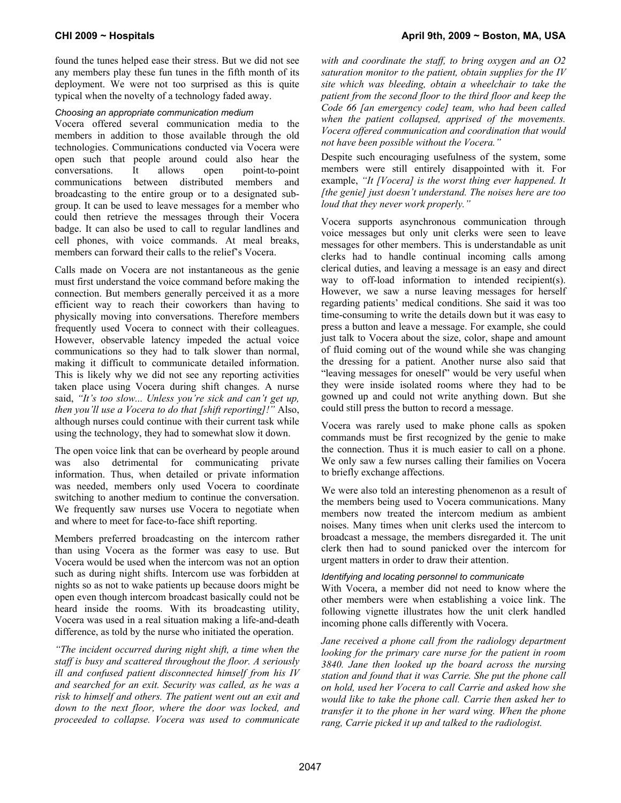found the tunes helped ease their stress. But we did not see any members play these fun tunes in the fifth month of its deployment. We were not too surprised as this is quite typical when the novelty of a technology faded away.

# *Choosing an appropriate communication medium*

Vocera offered several communication media to the members in addition to those available through the old technologies. Communications conducted via Vocera were open such that people around could also hear the conversations. It allows open point-to-point communications between distributed members and broadcasting to the entire group or to a designated subgroup. It can be used to leave messages for a member who could then retrieve the messages through their Vocera badge. It can also be used to call to regular landlines and cell phones, with voice commands. At meal breaks, members can forward their calls to the relief's Vocera.

Calls made on Vocera are not instantaneous as the genie must first understand the voice command before making the connection. But members generally perceived it as a more efficient way to reach their coworkers than having to physically moving into conversations. Therefore members frequently used Vocera to connect with their colleagues. However, observable latency impeded the actual voice communications so they had to talk slower than normal, making it difficult to communicate detailed information. This is likely why we did not see any reporting activities taken place using Vocera during shift changes. A nurse said, *"It's too slow... Unless you're sick and can't get up, then you'll use a Vocera to do that [shift reporting]!"* Also, although nurses could continue with their current task while using the technology, they had to somewhat slow it down.

The open voice link that can be overheard by people around was also detrimental for communicating private information. Thus, when detailed or private information was needed, members only used Vocera to coordinate switching to another medium to continue the conversation. We frequently saw nurses use Vocera to negotiate when and where to meet for face-to-face shift reporting.

Members preferred broadcasting on the intercom rather than using Vocera as the former was easy to use. But Vocera would be used when the intercom was not an option such as during night shifts. Intercom use was forbidden at nights so as not to wake patients up because doors might be open even though intercom broadcast basically could not be heard inside the rooms. With its broadcasting utility, Vocera was used in a real situation making a life-and-death difference, as told by the nurse who initiated the operation.

*"The incident occurred during night shift, a time when the staff is busy and scattered throughout the floor. A seriously ill and confused patient disconnected himself from his IV and searched for an exit. Security was called, as he was a risk to himself and others. The patient went out an exit and down to the next floor, where the door was locked, and proceeded to collapse. Vocera was used to communicate* 

*with and coordinate the staff, to bring oxygen and an O2 saturation monitor to the patient, obtain supplies for the IV site which was bleeding, obtain a wheelchair to take the patient from the second floor to the third floor and keep the Code 66 [an emergency code] team, who had been called when the patient collapsed, apprised of the movements. Vocera offered communication and coordination that would not have been possible without the Vocera."* 

Despite such encouraging usefulness of the system, some members were still entirely disappointed with it. For example, *"It [Vocera] is the worst thing ever happened. It [the genie] just doesn't understand. The noises here are too loud that they never work properly."*

Vocera supports asynchronous communication through voice messages but only unit clerks were seen to leave messages for other members. This is understandable as unit clerks had to handle continual incoming calls among clerical duties, and leaving a message is an easy and direct way to off-load information to intended recipient(s). However, we saw a nurse leaving messages for herself regarding patients' medical conditions. She said it was too time-consuming to write the details down but it was easy to press a button and leave a message. For example, she could just talk to Vocera about the size, color, shape and amount of fluid coming out of the wound while she was changing the dressing for a patient. Another nurse also said that "leaving messages for oneself" would be very useful when they were inside isolated rooms where they had to be gowned up and could not write anything down. But she could still press the button to record a message.

Vocera was rarely used to make phone calls as spoken commands must be first recognized by the genie to make the connection. Thus it is much easier to call on a phone. We only saw a few nurses calling their families on Vocera to briefly exchange affections.

We were also told an interesting phenomenon as a result of the members being used to Vocera communications. Many members now treated the intercom medium as ambient noises. Many times when unit clerks used the intercom to broadcast a message, the members disregarded it. The unit clerk then had to sound panicked over the intercom for urgent matters in order to draw their attention.

### *Identifying and locating personnel to communicate*

With Vocera, a member did not need to know where the other members were when establishing a voice link. The following vignette illustrates how the unit clerk handled incoming phone calls differently with Vocera.

*Jane received a phone call from the radiology department looking for the primary care nurse for the patient in room 3840. Jane then looked up the board across the nursing station and found that it was Carrie. She put the phone call on hold, used her Vocera to call Carrie and asked how she would like to take the phone call. Carrie then asked her to transfer it to the phone in her ward wing. When the phone rang, Carrie picked it up and talked to the radiologist.*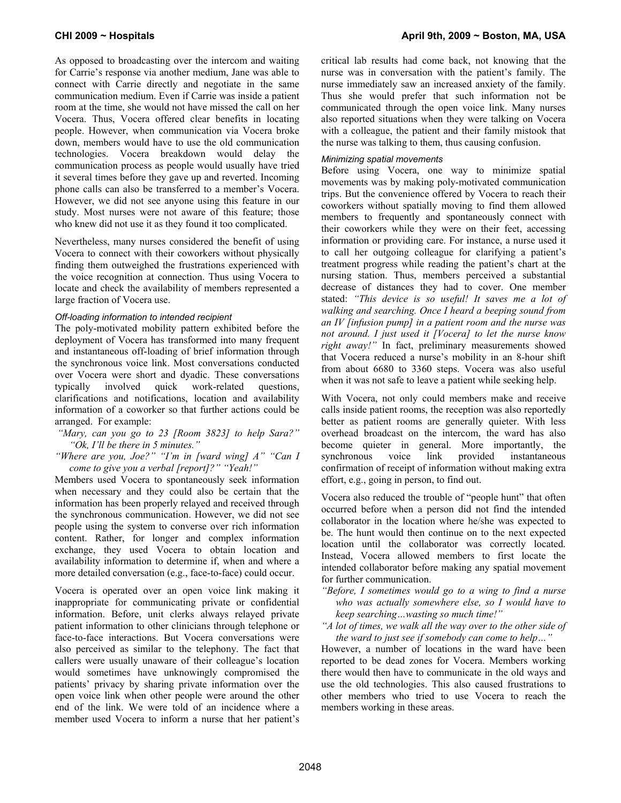As opposed to broadcasting over the intercom and waiting for Carrie's response via another medium, Jane was able to connect with Carrie directly and negotiate in the same communication medium. Even if Carrie was inside a patient room at the time, she would not have missed the call on her Vocera. Thus, Vocera offered clear benefits in locating people. However, when communication via Vocera broke down, members would have to use the old communication technologies. Vocera breakdown would delay the communication process as people would usually have tried it several times before they gave up and reverted. Incoming phone calls can also be transferred to a member's Vocera. However, we did not see anyone using this feature in our study. Most nurses were not aware of this feature; those who knew did not use it as they found it too complicated.

Nevertheless, many nurses considered the benefit of using Vocera to connect with their coworkers without physically finding them outweighed the frustrations experienced with the voice recognition at connection. Thus using Vocera to locate and check the availability of members represented a large fraction of Vocera use.

# *Off-loading information to intended recipient*

The poly-motivated mobility pattern exhibited before the deployment of Vocera has transformed into many frequent and instantaneous off-loading of brief information through the synchronous voice link. Most conversations conducted over Vocera were short and dyadic. These conversations typically involved quick work-related questions, clarifications and notifications, location and availability information of a coworker so that further actions could be arranged. For example:

- *"Mary, can you go to 23 [Room 3823] to help Sara?" "Ok, I'll be there in 5 minutes."*
- *"Where are you, Joe?" "I'm in [ward wing] A" "Can I come to give you a verbal [report]?" "Yeah!"*

Members used Vocera to spontaneously seek information when necessary and they could also be certain that the information has been properly relayed and received through the synchronous communication. However, we did not see people using the system to converse over rich information content. Rather, for longer and complex information exchange, they used Vocera to obtain location and availability information to determine if, when and where a more detailed conversation (e.g., face-to-face) could occur.

Vocera is operated over an open voice link making it inappropriate for communicating private or confidential information. Before, unit clerks always relayed private patient information to other clinicians through telephone or face-to-face interactions. But Vocera conversations were also perceived as similar to the telephony. The fact that callers were usually unaware of their colleague's location would sometimes have unknowingly compromised the patients' privacy by sharing private information over the open voice link when other people were around the other end of the link. We were told of an incidence where a member used Vocera to inform a nurse that her patient's

critical lab results had come back, not knowing that the nurse was in conversation with the patient's family. The nurse immediately saw an increased anxiety of the family. Thus she would prefer that such information not be communicated through the open voice link. Many nurses also reported situations when they were talking on Vocera with a colleague, the patient and their family mistook that the nurse was talking to them, thus causing confusion.

### *Minimizing spatial movements*

Before using Vocera, one way to minimize spatial movements was by making poly-motivated communication trips. But the convenience offered by Vocera to reach their coworkers without spatially moving to find them allowed members to frequently and spontaneously connect with their coworkers while they were on their feet, accessing information or providing care. For instance, a nurse used it to call her outgoing colleague for clarifying a patient's treatment progress while reading the patient's chart at the nursing station. Thus, members perceived a substantial decrease of distances they had to cover. One member stated: *"This device is so useful! It saves me a lot of walking and searching. Once I heard a beeping sound from an IV [infusion pump] in a patient room and the nurse was not around. I just used it [Vocera] to let the nurse know right away!"* In fact, preliminary measurements showed that Vocera reduced a nurse's mobility in an 8-hour shift from about 6680 to 3360 steps. Vocera was also useful when it was not safe to leave a patient while seeking help.

With Vocera, not only could members make and receive calls inside patient rooms, the reception was also reportedly better as patient rooms are generally quieter. With less overhead broadcast on the intercom, the ward has also become quieter in general. More importantly, the synchronous voice link provided instantaneous confirmation of receipt of information without making extra effort, e.g., going in person, to find out.

Vocera also reduced the trouble of "people hunt" that often occurred before when a person did not find the intended collaborator in the location where he/she was expected to be. The hunt would then continue on to the next expected location until the collaborator was correctly located. Instead, Vocera allowed members to first locate the intended collaborator before making any spatial movement for further communication.

- *"Before, I sometimes would go to a wing to find a nurse who was actually somewhere else, so I would have to keep searching…wasting so much time!"*
- *"A lot of times, we walk all the way over to the other side of the ward to just see if somebody can come to help…"*

However, a number of locations in the ward have been reported to be dead zones for Vocera. Members working there would then have to communicate in the old ways and use the old technologies. This also caused frustrations to other members who tried to use Vocera to reach the members working in these areas.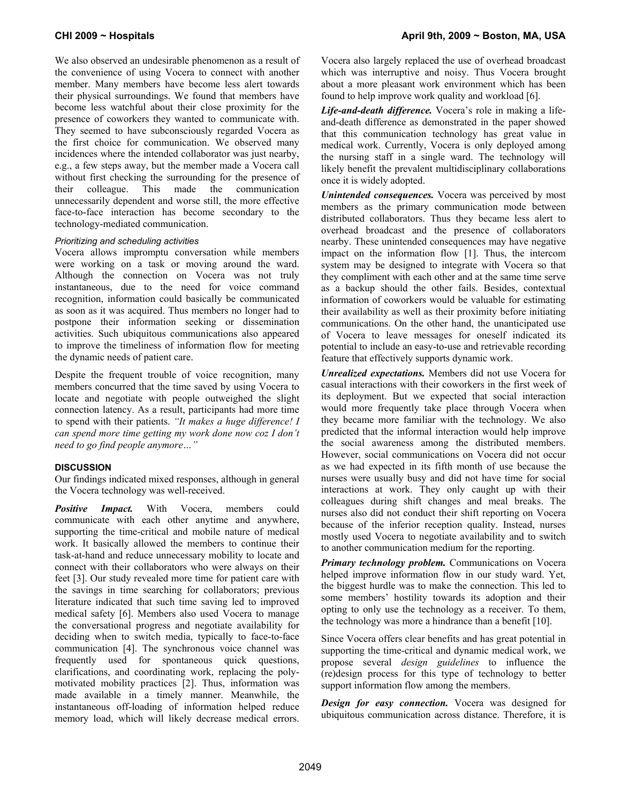We also observed an undesirable phenomenon as a result of the convenience of using Vocera to connect with another member. Many members have become less alert towards their physical surroundings. We found that members have become less watchful about their close proximity for the presence of coworkers they wanted to communicate with. They seemed to have subconsciously regarded Vocera as the first choice for communication. We observed many incidences where the intended collaborator was just nearby, e.g., a few steps away, but the member made a Vocera call without first checking the surrounding for the presence of their colleague. This made the communication unnecessarily dependent and worse still, the more effective face-to-face interaction has become secondary to the technology-mediated communication.

# *Prioritizing and scheduling activities*

Vocera allows impromptu conversation while members were working on a task or moving around the ward. Although the connection on Vocera was not truly instantaneous, due to the need for voice command recognition, information could basically be communicated as soon as it was acquired. Thus members no longer had to postpone their information seeking or dissemination activities. Such ubiquitous communications also appeared to improve the timeliness of information flow for meeting the dynamic needs of patient care.

Despite the frequent trouble of voice recognition, many members concurred that the time saved by using Vocera to locate and negotiate with people outweighed the slight connection latency. As a result, participants had more time to spend with their patients. *"It makes a huge difference! I can spend more time getting my work done now coz I don't need to go find people anymore…"*

# **DISCUSSION**

Our findings indicated mixed responses, although in general the Vocera technology was well-received.

*Positive Impact.* With Vocera, members could communicate with each other anytime and anywhere, supporting the time-critical and mobile nature of medical work. It basically allowed the members to continue their task-at-hand and reduce unnecessary mobility to locate and connect with their collaborators who were always on their feet [3]. Our study revealed more time for patient care with the savings in time searching for collaborators; previous literature indicated that such time saving led to improved medical safety [6]. Members also used Vocera to manage the conversational progress and negotiate availability for deciding when to switch media, typically to face-to-face communication [4]. The synchronous voice channel was frequently used for spontaneous quick questions, clarifications, and coordinating work, replacing the polymotivated mobility practices [2]. Thus, information was made available in a timely manner. Meanwhile, the instantaneous off-loading of information helped reduce memory load, which will likely decrease medical errors.

Vocera also largely replaced the use of overhead broadcast which was interruptive and noisy. Thus Vocera brought about a more pleasant work environment which has been found to help improve work quality and workload [6].

*Life-and-death difference.* Vocera's role in making a lifeand-death difference as demonstrated in the paper showed that this communication technology has great value in medical work. Currently, Vocera is only deployed among the nursing staff in a single ward. The technology will likely benefit the prevalent multidisciplinary collaborations once it is widely adopted.

*Unintended consequences.* Vocera was perceived by most members as the primary communication mode between distributed collaborators. Thus they became less alert to overhead broadcast and the presence of collaborators nearby. These unintended consequences may have negative impact on the information flow [1]. Thus, the intercom system may be designed to integrate with Vocera so that they compliment with each other and at the same time serve as a backup should the other fails. Besides, contextual information of coworkers would be valuable for estimating their availability as well as their proximity before initiating communications. On the other hand, the unanticipated use of Vocera to leave messages for oneself indicated its potential to include an easy-to-use and retrievable recording feature that effectively supports dynamic work.

*Unrealized expectations.* Members did not use Vocera for casual interactions with their coworkers in the first week of its deployment. But we expected that social interaction would more frequently take place through Vocera when they became more familiar with the technology. We also predicted that the informal interaction would help improve the social awareness among the distributed members. However, social communications on Vocera did not occur as we had expected in its fifth month of use because the nurses were usually busy and did not have time for social interactions at work. They only caught up with their colleagues during shift changes and meal breaks. The nurses also did not conduct their shift reporting on Vocera because of the inferior reception quality. Instead, nurses mostly used Vocera to negotiate availability and to switch to another communication medium for the reporting.

*Primary technology problem.* Communications on Vocera helped improve information flow in our study ward. Yet, the biggest hurdle was to make the connection. This led to some members' hostility towards its adoption and their opting to only use the technology as a receiver. To them, the technology was more a hindrance than a benefit [10].

Since Vocera offers clear benefits and has great potential in supporting the time-critical and dynamic medical work, we propose several *design guidelines* to influence the (re)design process for this type of technology to better support information flow among the members.

*Design for easy connection.* Vocera was designed for ubiquitous communication across distance. Therefore, it is